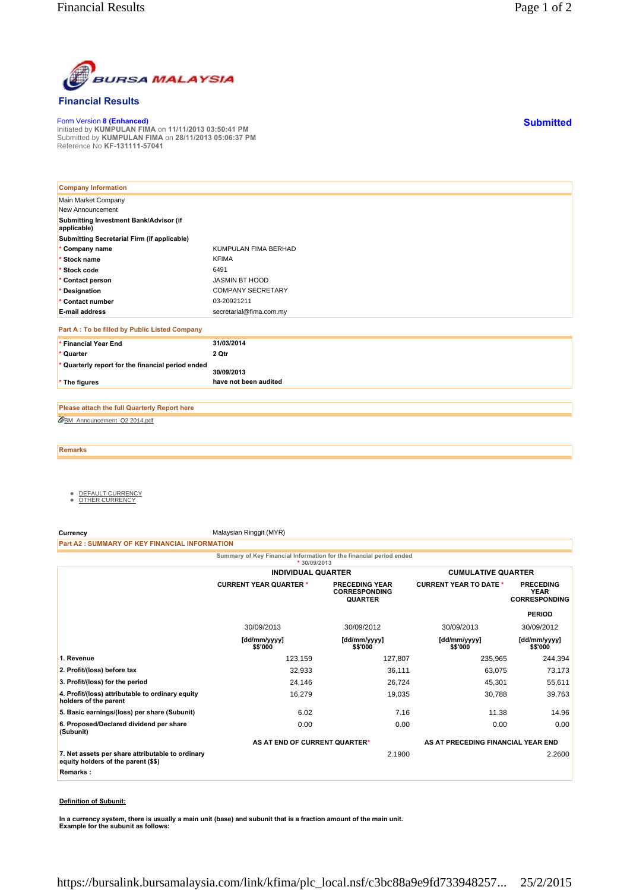

## **Financial Results**

Form Version **8 (Enhanced)** Initiated by **KUMPULAN FIMA** on **11/11/2013 03:50:41 PM** Submitted by **KUMPULAN FIMA** on **28/11/2013 05:06:37 PM** Reference No **KF-131111-57041**

| <b>Company Information</b>                            |                          |
|-------------------------------------------------------|--------------------------|
| Main Market Company                                   |                          |
| New Announcement                                      |                          |
| Submitting Investment Bank/Advisor (if<br>applicable) |                          |
| Submitting Secretarial Firm (if applicable)           |                          |
| * Company name                                        | KUMPULAN FIMA BERHAD     |
| * Stock name                                          | <b>KFIMA</b>             |
| * Stock code                                          | 6491                     |
| * Contact person                                      | JASMIN BT HOOD           |
| * Designation                                         | <b>COMPANY SECRETARY</b> |
| * Contact number                                      | 03-20921211              |
| <b>E-mail address</b>                                 | secretarial@fima.com.my  |
| Part A: To be filled by Public Listed Company         |                          |
| * Financial Year End                                  | 31/03/2014               |
| * Quarter                                             | 2 Qtr                    |
| * Quarterly report for the financial period ended     | 30/09/2013               |
| * The figures                                         | have not been audited    |

BM\_Announcement\_Q2 2014.pdf **Please attach the full Quarterly Report here**

**Remarks**

- <u>DEFAULT CURRENCY</u><br>● <u>OTHER CURRENCY</u>
- 

**Currency** Malaysian Ringgit (MYR)

**Part A2 : SUMMARY OF KEY FINANCIAL INFORMATION**

**Summary of Key Financial Information for the financial period ended**

|                                                                                         | * $30/09/2013$                |                                                                 |                                    |                                                  |
|-----------------------------------------------------------------------------------------|-------------------------------|-----------------------------------------------------------------|------------------------------------|--------------------------------------------------|
|                                                                                         | <b>INDIVIDUAL QUARTER</b>     |                                                                 | <b>CUMULATIVE QUARTER</b>          |                                                  |
|                                                                                         | <b>CURRENT YEAR QUARTER *</b> | <b>PRECEDING YEAR</b><br><b>CORRESPONDING</b><br><b>QUARTER</b> | <b>CURRENT YEAR TO DATE *</b>      | <b>PRECEDING</b><br>YEAR<br><b>CORRESPONDING</b> |
|                                                                                         |                               |                                                                 |                                    | <b>PERIOD</b>                                    |
|                                                                                         | 30/09/2013                    | 30/09/2012                                                      | 30/09/2013                         | 30/09/2012                                       |
|                                                                                         | [dd/mm/yyyy]<br>\$\$'000      | [dd/mm/yyyy]<br>\$\$'000                                        | [dd/mm/yyyy]<br>\$\$'000           | [dd/mm/yyyy]<br>\$\$'000                         |
| 1. Revenue                                                                              | 123,159                       | 127,807                                                         | 235,965                            | 244,394                                          |
| 2. Profit/(loss) before tax                                                             | 32,933                        | 36,111                                                          | 63,075                             | 73,173                                           |
| 3. Profit/(loss) for the period                                                         | 24,146                        | 26,724                                                          | 45,301                             | 55,611                                           |
| 4. Profit/(loss) attributable to ordinary equity<br>holders of the parent               | 16,279                        | 19,035                                                          | 30,788                             | 39,763                                           |
| 5. Basic earnings/(loss) per share (Subunit)                                            | 6.02                          | 7.16                                                            | 11.38                              | 14.96                                            |
| 6. Proposed/Declared dividend per share<br>(Subunit)                                    | 0.00                          | 0.00                                                            | 0.00                               | 0.00                                             |
|                                                                                         | AS AT END OF CURRENT QUARTER* |                                                                 | AS AT PRECEDING FINANCIAL YEAR END |                                                  |
| 7. Net assets per share attributable to ordinary<br>equity holders of the parent (\$\$) |                               | 2.1900                                                          |                                    | 2.2600                                           |
| Remarks:                                                                                |                               |                                                                 |                                    |                                                  |

## **Definition of Subunit:**

**In a currency system, there is usually a main unit (base) and subunit that is a fraction amount of the main unit. Example for the subunit as follows:**

**Submitted**